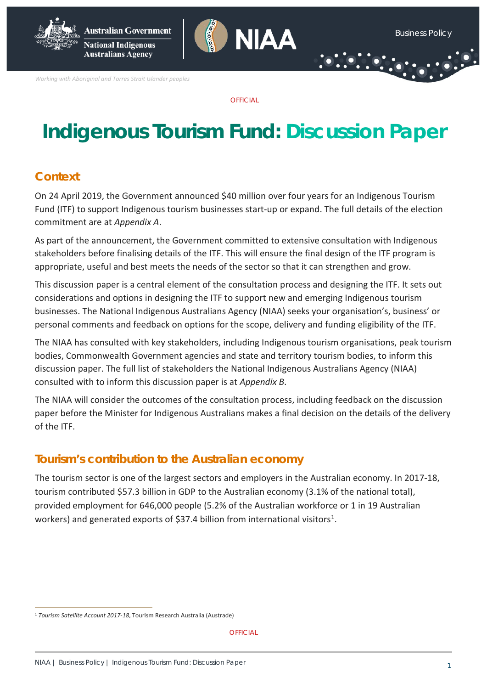**Australians Agency** 



*Working with Aboriginal and Torres Strait Islander peoples*

**OFFICIAL** 

# **Indigenous Tourism Fund: Discussion Paper**

# **Context**

On 24 April 2019, the Government announced \$40 million over four years for an Indigenous Tourism Fund (ITF) to support Indigenous tourism businesses start-up or expand. The full details of the election commitment are at *Appendix A*.

As part of the announcement, the Government committed to extensive consultation with Indigenous stakeholders before finalising details of the ITF. This will ensure the final design of the ITF program is appropriate, useful and best meets the needs of the sector so that it can strengthen and grow.

This discussion paper is a central element of the consultation process and designing the ITF. It sets out considerations and options in designing the ITF to support new and emerging Indigenous tourism businesses. The National Indigenous Australians Agency (NIAA) seeks your organisation's, business' or personal comments and feedback on options for the scope, delivery and funding eligibility of the ITF.

The NIAA has consulted with key stakeholders, including Indigenous tourism organisations, peak tourism bodies, Commonwealth Government agencies and state and territory tourism bodies, to inform this discussion paper. The full list of stakeholders the National Indigenous Australians Agency (NIAA) consulted with to inform this discussion paper is at *Appendix B*.

The NIAA will consider the outcomes of the consultation process, including feedback on the discussion paper before the Minister for Indigenous Australians makes a final decision on the details of the delivery of the ITF.

# **Tourism's contribution to the Australian economy**

The tourism sector is one of the largest sectors and employers in the Australian economy. In 2017-18, tourism contributed \$57.3 billion in GDP to the Australian economy (3.1% of the national total), provided employment for 646,000 people (5.2% of the Australian workforce or 1 in 19 Australian workers) and generated exports of \$37.4 billion from international visitors<sup>1</sup>.

<span id="page-0-0"></span> <sup>1</sup> *Tourism Satellite Account 2017-18*, Tourism Research Australia (Austrade)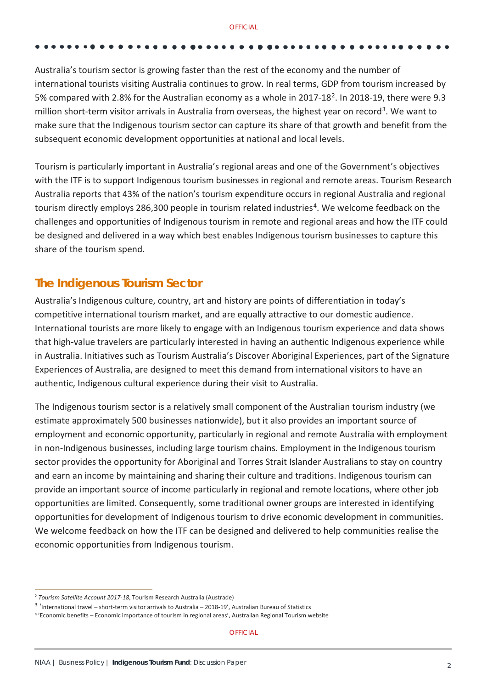Australia's tourism sector is growing faster than the rest of the economy and the number of international tourists visiting Australia continues to grow. In real terms, GDP from tourism increased by 5% compared with [2.](#page-1-0)8% for the Australian economy as a whole in 2017-18<sup>2</sup>. In 2018-19, there were 9.3 million short-term visitor arrivals in Australia from overseas, the highest year on record<sup>3</sup>. We want to make sure that the Indigenous tourism sector can capture its share of that growth and benefit from the subsequent economic development opportunities at national and local levels.

Tourism is particularly important in Australia's regional areas and one of the Government's objectives with the ITF is to support Indigenous tourism businesses in regional and remote areas. Tourism Research Australia reports that 43% of the nation's tourism expenditure occurs in regional Australia and regional tourism directly employs 286,300 people in tourism related industries<sup>[4](#page-1-2)</sup>. We welcome feedback on the challenges and opportunities of Indigenous tourism in remote and regional areas and how the ITF could be designed and delivered in a way which best enables Indigenous tourism businesses to capture this share of the tourism spend.

# **The Indigenous Tourism Sector**

Australia's Indigenous culture, country, art and history are points of differentiation in today's competitive international tourism market, and are equally attractive to our domestic audience. International tourists are more likely to engage with an Indigenous tourism experience and data shows that high-value travelers are particularly interested in having an authentic Indigenous experience while in Australia. Initiatives such as Tourism Australia's Discover Aboriginal Experiences, part of the Signature Experiences of Australia, are designed to meet this demand from international visitors to have an authentic, Indigenous cultural experience during their visit to Australia.

The Indigenous tourism sector is a relatively small component of the Australian tourism industry (we estimate approximately 500 businesses nationwide), but it also provides an important source of employment and economic opportunity, particularly in regional and remote Australia with employment in non-Indigenous businesses, including large tourism chains. Employment in the Indigenous tourism sector provides the opportunity for Aboriginal and Torres Strait Islander Australians to stay on country and earn an income by maintaining and sharing their culture and traditions. Indigenous tourism can provide an important source of income particularly in regional and remote locations, where other job opportunities are limited. Consequently, some traditional owner groups are interested in identifying opportunities for development of Indigenous tourism to drive economic development in communities. We welcome feedback on how the ITF can be designed and delivered to help communities realise the economic opportunities from Indigenous tourism.

<span id="page-1-0"></span> <sup>2</sup> *Tourism Satellite Account 2017-18*, Tourism Research Australia (Austrade)

<span id="page-1-1"></span><sup>3</sup> 'International travel – short-term visitor arrivals to Australia – 2018-19', Australian Bureau of Statistics

<span id="page-1-2"></span><sup>4</sup> 'Economic benefits – Economic importance of tourism in regional areas', Australian Regional Tourism website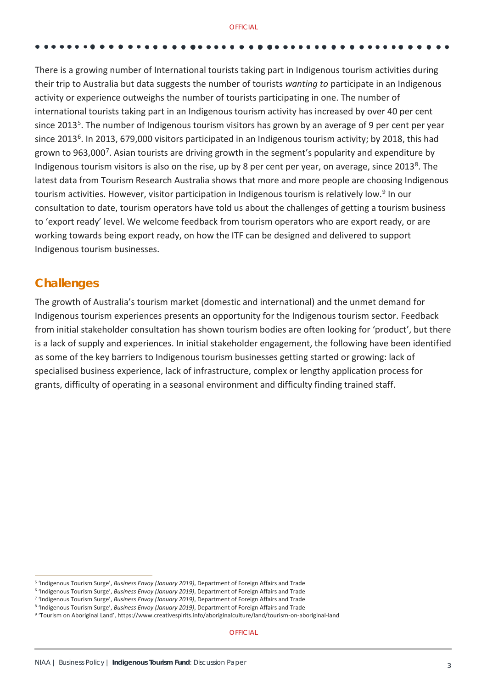There is a growing number of International tourists taking part in Indigenous tourism activities during their trip to Australia but data suggests the number of tourists *wanting to* participate in an Indigenous activity or experience outweighs the number of tourists participating in one. The number of international tourists taking part in an Indigenous tourism activity has increased by over 40 per cent since 2013<sup>[5](#page-2-0)</sup>. The number of Indigenous tourism visitors has grown by an average of 9 per cent per year since 2013<sup>[6](#page-2-1)</sup>. In 2013, 679,000 visitors participated in an Indigenous tourism activity; by 2018, this had grown to 963,000<sup>7</sup>. Asian tourists are driving growth in the segment's popularity and expenditure by Indigenous tourism visitors is also on the rise, up by [8](#page-2-3) per cent per year, on average, since 2013<sup>8</sup>. The latest data from Tourism Research Australia shows that more and more people are choosing Indigenous tourism activities. However, visitor participation in Indigenous tourism is relatively low.[9](#page-2-4) In our consultation to date, tourism operators have told us about the challenges of getting a tourism business to 'export ready' level. We welcome feedback from tourism operators who are export ready, or are working towards being export ready, on how the ITF can be designed and delivered to support Indigenous tourism businesses.

# **Challenges**

The growth of Australia's tourism market (domestic and international) and the unmet demand for Indigenous tourism experiences presents an opportunity for the Indigenous tourism sector. Feedback from initial stakeholder consultation has shown tourism bodies are often looking for 'product', but there is a lack of supply and experiences. In initial stakeholder engagement, the following have been identified as some of the key barriers to Indigenous tourism businesses getting started or growing: lack of specialised business experience, lack of infrastructure, complex or lengthy application process for grants, difficulty of operating in a seasonal environment and difficulty finding trained staff.

<span id="page-2-1"></span><span id="page-2-0"></span><sup>&</sup>lt;sup>5</sup> 'Indigenous Tourism Surge', *Business Envoy (January 2019)*, Department of Foreign Affairs and Trade<br><sup>6</sup> 'Indigenous Tourism Surge', *Business Envoy (January 2019)*, Department of Foreign Affairs and Trade<br><sup>7</sup> 'Indigen

<span id="page-2-2"></span>

<span id="page-2-3"></span>

<span id="page-2-4"></span>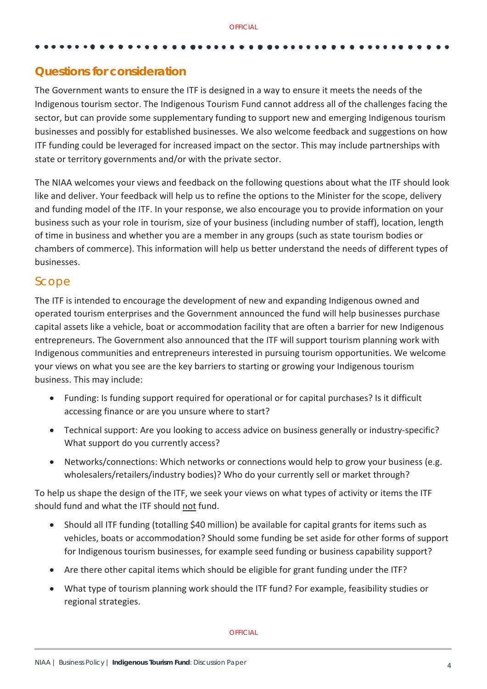### **Questions for consideration**

The Government wants to ensure the ITF is designed in a way to ensure it meets the needs of the Indigenous tourism sector. The Indigenous Tourism Fund cannot address all of the challenges facing the sector, but can provide some supplementary funding to support new and emerging Indigenous tourism businesses and possibly for established businesses. We also welcome feedback and suggestions on how ITF funding could be leveraged for increased impact on the sector. This may include partnerships with state or territory governments and/or with the private sector.

The NIAA welcomes your views and feedback on the following questions about what the ITF should look like and deliver. Your feedback will help us to refine the options to the Minister for the scope, delivery and funding model of the ITF. In your response, we also encourage you to provide information on your business such as your role in tourism, size of your business (including number of staff), location, length of time in business and whether you are a member in any groups (such as state tourism bodies or chambers of commerce). This information will help us better understand the needs of different types of businesses.

### Scope

The ITF is intended to encourage the development of new and expanding Indigenous owned and operated tourism enterprises and the Government announced the fund will help businesses purchase capital assets like a vehicle, boat or accommodation facility that are often a barrier for new Indigenous entrepreneurs. The Government also announced that the ITF will support tourism planning work with Indigenous communities and entrepreneurs interested in pursuing tourism opportunities. We welcome your views on what you see are the key barriers to starting or growing your Indigenous tourism business. This may include:

- Funding: Is funding support required for operational or for capital purchases? Is it difficult accessing finance or are you unsure where to start?
- Technical support: Are you looking to access advice on business generally or industry-specific? What support do you currently access?
- Networks/connections: Which networks or connections would help to grow your business (e.g. wholesalers/retailers/industry bodies)? Who do your currently sell or market through?

To help us shape the design of the ITF, we seek your views on what types of activity or items the ITF should fund and what the ITF should not fund.

- Should all ITF funding (totalling \$40 million) be available for capital grants for items such as vehicles, boats or accommodation? Should some funding be set aside for other forms of support for Indigenous tourism businesses, for example seed funding or business capability support?
- Are there other capital items which should be eligible for grant funding under the ITF?
- What type of tourism planning work should the ITF fund? For example, feasibility studies or regional strategies.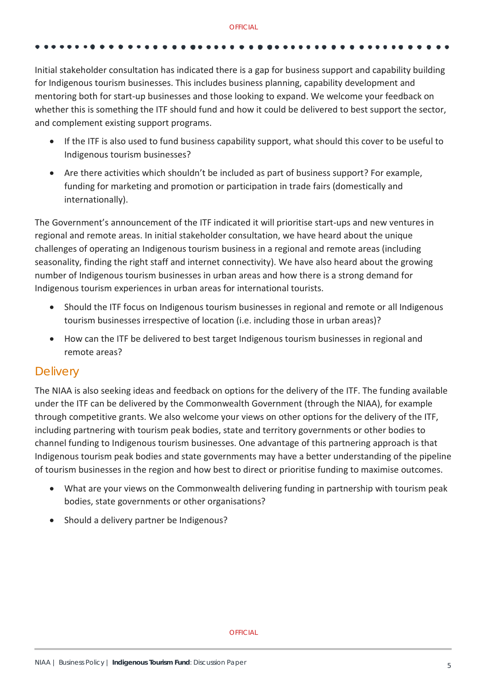Initial stakeholder consultation has indicated there is a gap for business support and capability building for Indigenous tourism businesses. This includes business planning, capability development and mentoring both for start-up businesses and those looking to expand. We welcome your feedback on whether this is something the ITF should fund and how it could be delivered to best support the sector, and complement existing support programs.

- If the ITF is also used to fund business capability support, what should this cover to be useful to Indigenous tourism businesses?
- Are there activities which shouldn't be included as part of business support? For example, funding for marketing and promotion or participation in trade fairs (domestically and internationally).

The Government's announcement of the ITF indicated it will prioritise start-ups and new ventures in regional and remote areas. In initial stakeholder consultation, we have heard about the unique challenges of operating an Indigenous tourism business in a regional and remote areas (including seasonality, finding the right staff and internet connectivity). We have also heard about the growing number of Indigenous tourism businesses in urban areas and how there is a strong demand for Indigenous tourism experiences in urban areas for international tourists.

- Should the ITF focus on Indigenous tourism businesses in regional and remote or all Indigenous tourism businesses irrespective of location (i.e. including those in urban areas)?
- How can the ITF be delivered to best target Indigenous tourism businesses in regional and remote areas?

### **Delivery**

The NIAA is also seeking ideas and feedback on options for the delivery of the ITF. The funding available under the ITF can be delivered by the Commonwealth Government (through the NIAA), for example through competitive grants. We also welcome your views on other options for the delivery of the ITF, including partnering with tourism peak bodies, state and territory governments or other bodies to channel funding to Indigenous tourism businesses. One advantage of this partnering approach is that Indigenous tourism peak bodies and state governments may have a better understanding of the pipeline of tourism businesses in the region and how best to direct or prioritise funding to maximise outcomes.

- What are your views on the Commonwealth delivering funding in partnership with tourism peak bodies, state governments or other organisations?
- Should a delivery partner be Indigenous?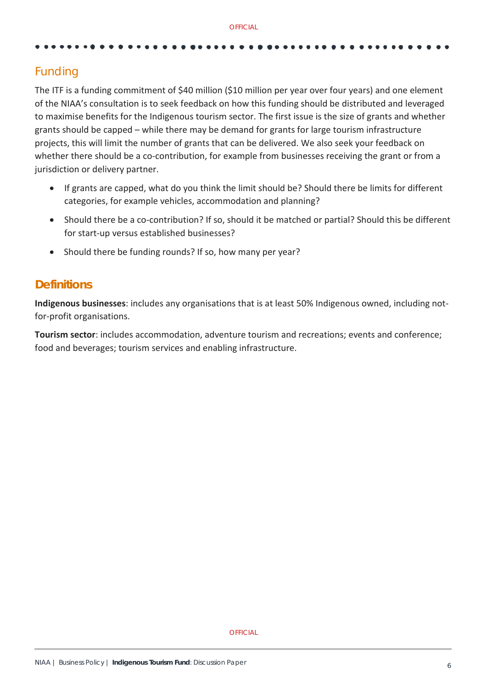# Funding

The ITF is a funding commitment of \$40 million (\$10 million per year over four years) and one element of the NIAA's consultation is to seek feedback on how this funding should be distributed and leveraged to maximise benefits for the Indigenous tourism sector. The first issue is the size of grants and whether grants should be capped – while there may be demand for grants for large tourism infrastructure projects, this will limit the number of grants that can be delivered. We also seek your feedback on whether there should be a co-contribution, for example from businesses receiving the grant or from a jurisdiction or delivery partner.

- If grants are capped, what do you think the limit should be? Should there be limits for different categories, for example vehicles, accommodation and planning?
- Should there be a co-contribution? If so, should it be matched or partial? Should this be different for start-up versus established businesses?
- Should there be funding rounds? If so, how many per year?

### **Definitions**

**Indigenous businesses**: includes any organisations that is at least 50% Indigenous owned, including notfor-profit organisations.

**Tourism sector**: includes accommodation, adventure tourism and recreations; events and conference; food and beverages; tourism services and enabling infrastructure.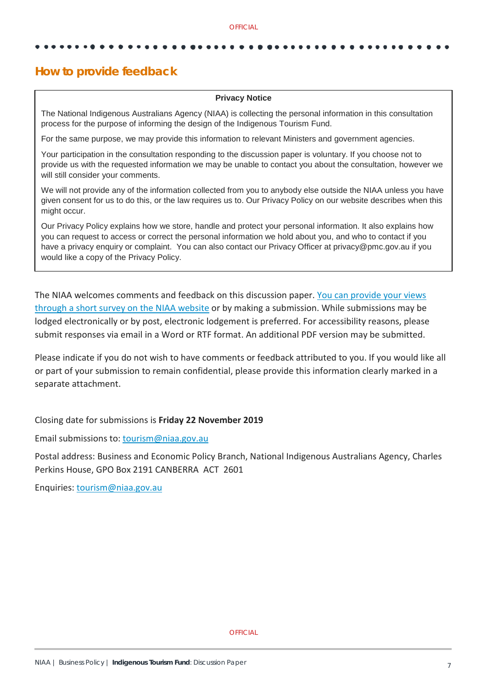### **How to provide feedback**

### **Privacy Notice**

The National Indigenous Australians Agency (NIAA) is collecting the personal information in this consultation process for the purpose of informing the design of the Indigenous Tourism Fund.

For the same purpose, we may provide this information to relevant Ministers and government agencies.

Your participation in the consultation responding to the discussion paper is voluntary. If you choose not to provide us with the requested information we may be unable to contact you about the consultation, however we will still consider your comments.

We will not provide any of the information collected from you to anybody else outside the NIAA unless you have given consent for us to do this, or the law requires us to. Our Privacy Policy on our website describes when this might occur.

Our Privacy Policy explains how we store, handle and protect your personal information. It also explains how you can request to access or correct the personal information we hold about you, and who to contact if you have a privacy enquiry or complaint. You can also contact our Privacy Officer at privacy@pmc.gov.au if you would like a copy of the Privacy Policy.

The NIAA welcomes comments and feedback on this discussion paper[. You can provide your](http://www.niaa.gov.au/itf) views [through a short survey on the NIAA website](http://www.niaa.gov.au/itf) or by making a submission. While submissions may be lodged electronically or by post, electronic lodgement is preferred. For accessibility reasons, please submit responses via email in a Word or RTF format. An additional PDF version may be submitted.

Please indicate if you do not wish to have comments or feedback attributed to you. If you would like all or part of your submission to remain confidential, please provide this information clearly marked in a separate attachment.

Closing date for submissions is **Friday 22 November 2019**

Email submissions to: [tourism@niaa.gov.au](mailto:tourism@niaa.gov.au)

Postal address: Business and Economic Policy Branch, National Indigenous Australians Agency, Charles Perkins House, GPO Box 2191 CANBERRA ACT 2601

Enquiries: [tourism@niaa.gov.au](mailto:tourism@niaa.gov.au)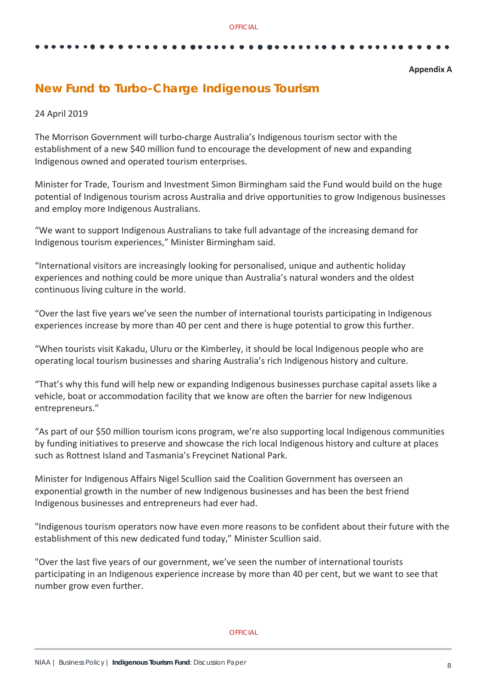### **Appendix A**

# **New Fund to Turbo-Charge Indigenous Tourism**

### 24 April 2019

The Morrison Government will turbo-charge Australia's Indigenous tourism sector with the establishment of a new \$40 million fund to encourage the development of new and expanding Indigenous owned and operated tourism enterprises.

Minister for Trade, Tourism and Investment Simon Birmingham said the Fund would build on the huge potential of Indigenous tourism across Australia and drive opportunities to grow Indigenous businesses and employ more Indigenous Australians.

"We want to support Indigenous Australians to take full advantage of the increasing demand for Indigenous tourism experiences," Minister Birmingham said.

"International visitors are increasingly looking for personalised, unique and authentic holiday experiences and nothing could be more unique than Australia's natural wonders and the oldest continuous living culture in the world.

"Over the last five years we've seen the number of international tourists participating in Indigenous experiences increase by more than 40 per cent and there is huge potential to grow this further.

"When tourists visit Kakadu, Uluru or the Kimberley, it should be local Indigenous people who are operating local tourism businesses and sharing Australia's rich Indigenous history and culture.

"That's why this fund will help new or expanding Indigenous businesses purchase capital assets like a vehicle, boat or accommodation facility that we know are often the barrier for new Indigenous entrepreneurs."

"As part of our \$50 million tourism icons program, we're also supporting local Indigenous communities by funding initiatives to preserve and showcase the rich local Indigenous history and culture at places such as Rottnest Island and Tasmania's Freycinet National Park.

Minister for Indigenous Affairs Nigel Scullion said the Coalition Government has overseen an exponential growth in the number of new Indigenous businesses and has been the best friend Indigenous businesses and entrepreneurs had ever had.

"Indigenous tourism operators now have even more reasons to be confident about their future with the establishment of this new dedicated fund today," Minister Scullion said.

"Over the last five years of our government, we've seen the number of international tourists participating in an Indigenous experience increase by more than 40 per cent, but we want to see that number grow even further.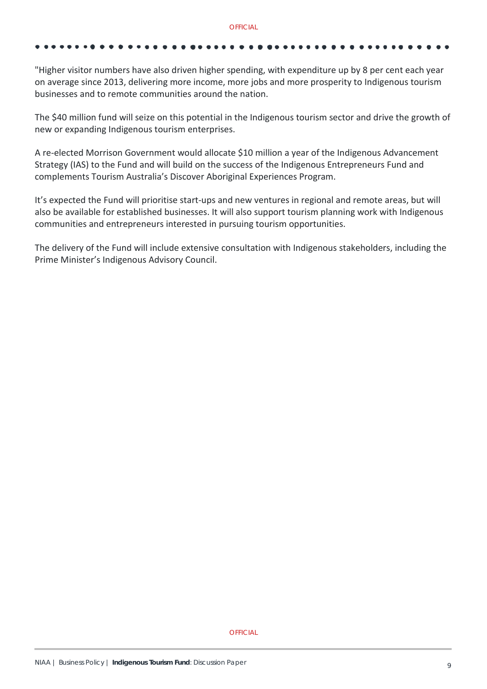"Higher visitor numbers have also driven higher spending, with expenditure up by 8 per cent each year on average since 2013, delivering more income, more jobs and more prosperity to Indigenous tourism businesses and to remote communities around the nation.

The \$40 million fund will seize on this potential in the Indigenous tourism sector and drive the growth of new or expanding Indigenous tourism enterprises.

A re-elected Morrison Government would allocate \$10 million a year of the Indigenous Advancement Strategy (IAS) to the Fund and will build on the success of the Indigenous Entrepreneurs Fund and complements Tourism Australia's Discover Aboriginal Experiences Program.

It's expected the Fund will prioritise start-ups and new ventures in regional and remote areas, but will also be available for established businesses. It will also support tourism planning work with Indigenous communities and entrepreneurs interested in pursuing tourism opportunities.

The delivery of the Fund will include extensive consultation with Indigenous stakeholders, including the Prime Minister's Indigenous Advisory Council.